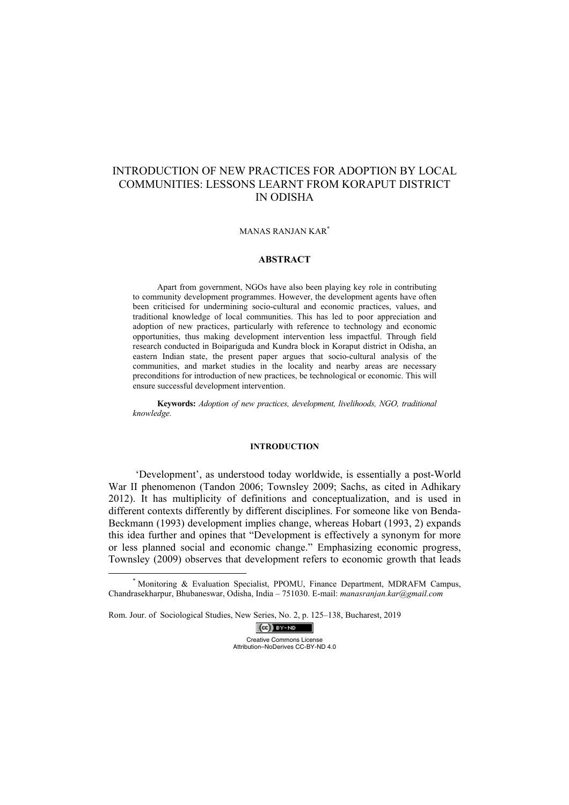# INTRODUCTION OF NEW PRACTICES FOR ADOPTION BY LOCAL COMMUNITIES: LESSONS LEARNT FROM KORAPUT DISTRICT IN ODISHA

#### MANAS RANJAN KAR\*

#### **ABSTRACT**

Apart from government, NGOs have also been playing key role in contributing to community development programmes. However, the development agents have often been criticised for undermining socio-cultural and economic practices, values, and traditional knowledge of local communities. This has led to poor appreciation and adoption of new practices, particularly with reference to technology and economic opportunities, thus making development intervention less impactful. Through field research conducted in Boipariguda and Kundra block in Koraput district in Odisha, an eastern Indian state, the present paper argues that socio-cultural analysis of the communities, and market studies in the locality and nearby areas are necessary preconditions for introduction of new practices, be technological or economic. This will ensure successful development intervention.

**Keywords:** *Adoption of new practices, development, livelihoods, NGO, traditional knowledge.*

### **INTRODUCTION**

'Development', as understood today worldwide, is essentially a post-World War II phenomenon (Tandon 2006; Townsley 2009; Sachs, as cited in Adhikary 2012). It has multiplicity of definitions and conceptualization, and is used in different contexts differently by different disciplines. For someone like von Benda-Beckmann (1993) development implies change, whereas Hobart (1993, 2) expands this idea further and opines that "Development is effectively a synonym for more or less planned social and economic change." Emphasizing economic progress, Townsley (2009) observes that development refers to economic growth that leads

Rom. Jour. of Sociological Studies, New Series, No. 2, p. 125–138, Bucharest, 2019

 $(cc)$  BY-ND Creative Commons License Attribution–NoDerives CC-BY-ND 4.0

 <sup>\*</sup> Monitoring & Evaluation Specialist, PPOMU, Finance Department, MDRAFM Campus, Chandrasekharpur, Bhubaneswar, Odisha, India – 751030. E-mail: *manasranjan.kar@gmail.com*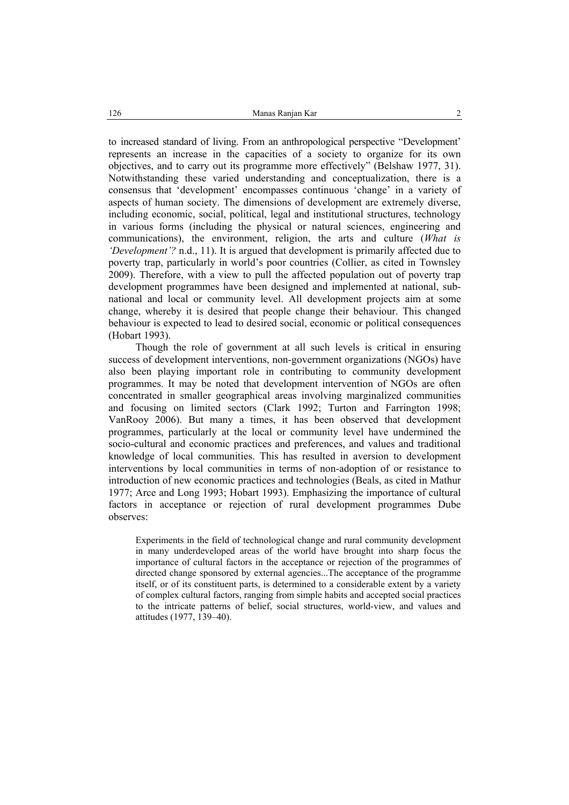to increased standard of living. From an anthropological perspective "Development' represents an increase in the capacities of a society to organize for its own objectives, and to carry out its programme more effectively" (Belshaw 1977, 31). Notwithstanding these varied understanding and conceptualization, there is a consensus that 'development' encompasses continuous 'change' in a variety of aspects of human society. The dimensions of development are extremely diverse, including economic, social, political, legal and institutional structures, technology in various forms (including the physical or natural sciences, engineering and communications), the environment, religion, the arts and culture (*What is 'Development'?* n.d., 11). It is argued that development is primarily affected due to poverty trap, particularly in world's poor countries (Collier, as cited in Townsley 2009). Therefore, with a view to pull the affected population out of poverty trap development programmes have been designed and implemented at national, subnational and local or community level. All development projects aim at some change, whereby it is desired that people change their behaviour. This changed behaviour is expected to lead to desired social, economic or political consequences (Hobart 1993).

Though the role of government at all such levels is critical in ensuring success of development interventions, non-government organizations (NGOs) have also been playing important role in contributing to community development programmes. It may be noted that development intervention of NGOs are often concentrated in smaller geographical areas involving marginalized communities and focusing on limited sectors (Clark 1992; Turton and Farrington 1998; VanRooy 2006). But many a times, it has been observed that development programmes, particularly at the local or community level have undermined the socio-cultural and economic practices and preferences, and values and traditional knowledge of local communities. This has resulted in aversion to development interventions by local communities in terms of non-adoption of or resistance to introduction of new economic practices and technologies (Beals, as cited in Mathur 1977; Arce and Long 1993; Hobart 1993). Emphasizing the importance of cultural factors in acceptance or rejection of rural development programmes Dube observes:

Experiments in the field of technological change and rural community development in many underdeveloped areas of the world have brought into sharp focus the importance of cultural factors in the acceptance or rejection of the programmes of directed change sponsored by external agencies...The acceptance of the programme itself, or of its constituent parts, is determined to a considerable extent by a variety of complex cultural factors, ranging from simple habits and accepted social practices to the intricate patterns of belief, social structures, world-view, and values and attitudes (1977, 139–40).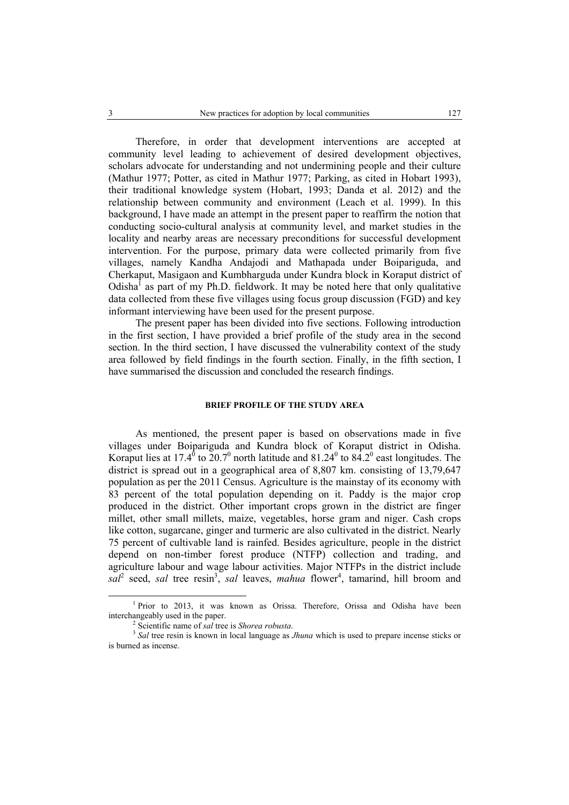Therefore, in order that development interventions are accepted at community level leading to achievement of desired development objectives, scholars advocate for understanding and not undermining people and their culture (Mathur 1977; Potter, as cited in Mathur 1977; Parking, as cited in Hobart 1993), their traditional knowledge system (Hobart, 1993; Danda et al. 2012) and the relationship between community and environment (Leach et al. 1999). In this background, I have made an attempt in the present paper to reaffirm the notion that conducting socio-cultural analysis at community level, and market studies in the locality and nearby areas are necessary preconditions for successful development intervention. For the purpose, primary data were collected primarily from five villages, namely Kandha Andajodi and Mathapada under Boipariguda, and Cherkaput, Masigaon and Kumbharguda under Kundra block in Koraput district of Odisha<sup>1</sup> as part of my Ph.D. fieldwork. It may be noted here that only qualitative data collected from these five villages using focus group discussion (FGD) and key informant interviewing have been used for the present purpose.

The present paper has been divided into five sections. Following introduction in the first section, I have provided a brief profile of the study area in the second section. In the third section, I have discussed the vulnerability context of the study area followed by field findings in the fourth section. Finally, in the fifth section, I have summarised the discussion and concluded the research findings.

# **BRIEF PROFILE OF THE STUDY AREA**

As mentioned, the present paper is based on observations made in five villages under Boipariguda and Kundra block of Koraput district in Odisha. Koraput lies at 17.4<sup> $\hat{0}$ </sup> to 20.7<sup>0</sup> north latitude and 81.24<sup>0</sup> to 84.2<sup>0</sup> east longitudes. The district is spread out in a geographical area of 8,807 km. consisting of 13,79,647 population as per the 2011 Census. Agriculture is the mainstay of its economy with 83 percent of the total population depending on it. Paddy is the major crop produced in the district. Other important crops grown in the district are finger millet, other small millets, maize, vegetables, horse gram and niger. Cash crops like cotton, sugarcane, ginger and turmeric are also cultivated in the district. Nearly 75 percent of cultivable land is rainfed. Besides agriculture, people in the district depend on non-timber forest produce (NTFP) collection and trading, and agriculture labour and wage labour activities. Major NTFPs in the district include  $sal^2$  seed, *sal* tree resin<sup>3</sup>, *sal* leaves, *mahua* flower<sup>4</sup>, tamarind, hill broom and

 $\frac{1}{1}$ <sup>1</sup> Prior to 2013, it was known as Orissa. Therefore, Orissa and Odisha have been interchangeably used in the paper.<br> $\frac{2}{3}$  Scientific name of sal tree is *Shorea robusta*.

<sup>&</sup>lt;sup>2</sup> Scientific name of *sal* tree is *Shorea robusta*.<br><sup>3</sup> *Sal* tree resin is known in local language as *Jhuna* which is used to prepare incense sticks or is burned as incense.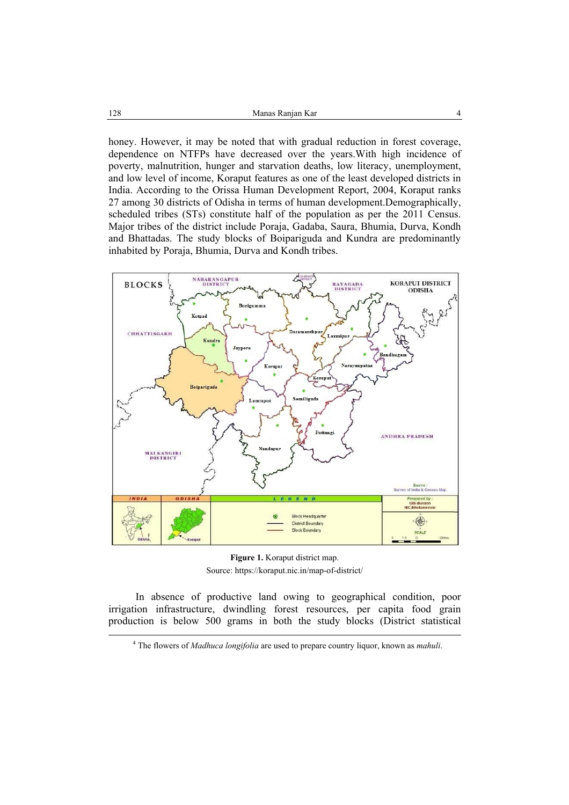honey. However, it may be noted that with gradual reduction in forest coverage, dependence on NTFPs have decreased over the years.With high incidence of poverty, malnutrition, hunger and starvation deaths, low literacy, unemployment, and low level of income, Koraput features as one of the least developed districts in India. According to the Orissa Human Development Report, 2004, Koraput ranks 27 among 30 districts of Odisha in terms of human development.Demographically, scheduled tribes (STs) constitute half of the population as per the 2011 Census. Major tribes of the district include Poraja, Gadaba, Saura, Bhumia, Durva, Kondh and Bhattadas. The study blocks of Boipariguda and Kundra are predominantly inhabited by Poraja, Bhumia, Durva and Kondh tribes.



**Figure 1.** Koraput district map. Source: https://koraput.nic.in/map-of-district/

In absence of productive land owing to geographical condition, poor irrigation infrastructure, dwindling forest resources, per capita food grain production is below 500 grams in both the study blocks (District statistical

 $\overline{4}$ The flowers of *Madhuca longifolia* are used to prepare country liquor, known as *mahuli*.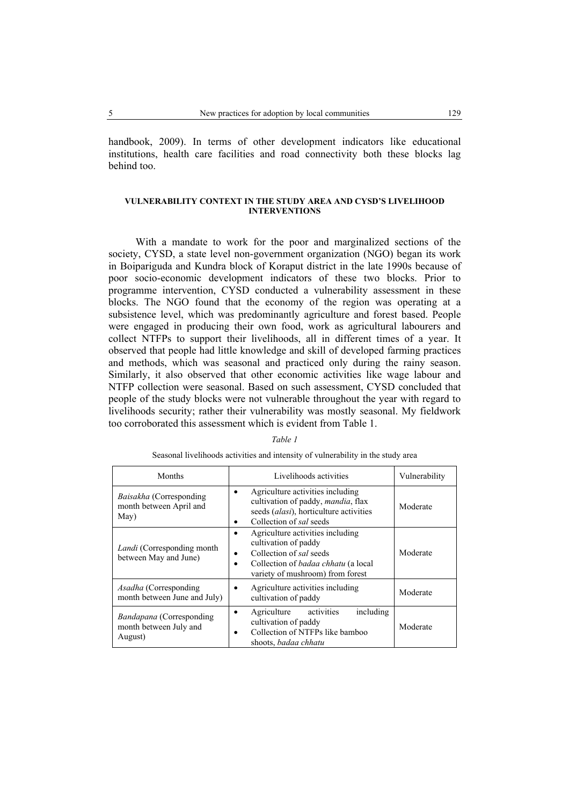handbook, 2009). In terms of other development indicators like educational institutions, health care facilities and road connectivity both these blocks lag behind too.

### **VULNERABILITY CONTEXT IN THE STUDY AREA AND CYSD'S LIVELIHOOD INTERVENTIONS**

With a mandate to work for the poor and marginalized sections of the society, CYSD, a state level non-government organization (NGO) began its work in Boipariguda and Kundra block of Koraput district in the late 1990s because of poor socio-economic development indicators of these two blocks. Prior to programme intervention, CYSD conducted a vulnerability assessment in these blocks. The NGO found that the economy of the region was operating at a subsistence level, which was predominantly agriculture and forest based. People were engaged in producing their own food, work as agricultural labourers and collect NTFPs to support their livelihoods, all in different times of a year. It observed that people had little knowledge and skill of developed farming practices and methods, which was seasonal and practiced only during the rainy season. Similarly, it also observed that other economic activities like wage labour and NTFP collection were seasonal. Based on such assessment, CYSD concluded that people of the study blocks were not vulnerable throughout the year with regard to livelihoods security; rather their vulnerability was mostly seasonal. My fieldwork too corroborated this assessment which is evident from Table 1.

| I<br>I |  |
|--------|--|
|--------|--|

| Months                                                            | Livelihoods activities                                                                                                                                                | Vulnerability |
|-------------------------------------------------------------------|-----------------------------------------------------------------------------------------------------------------------------------------------------------------------|---------------|
| <i>Baisakha</i> (Corresponding<br>month between April and<br>May) | Agriculture activities including<br>cultivation of paddy, <i>mandia</i> , flax<br>seeds (alasi), horticulture activities<br>Collection of sal seeds                   | Moderate      |
| Landi (Corresponding month<br>between May and June)               | Agriculture activities including<br>cultivation of paddy<br>Collection of sal seeds<br>Collection of <i>badaa chhatu</i> (a local<br>variety of mushroom) from forest | Moderate      |
| <i>Asadha</i> (Corresponding)<br>month between June and July)     | Agriculture activities including<br>cultivation of paddy                                                                                                              | Moderate      |
| Bandapana (Corresponding<br>month between July and<br>August)     | including<br>Agriculture<br>activities<br>cultivation of paddy<br>Collection of NTFPs like bamboo<br>shoots, <i>badaa chhatu</i>                                      | Moderate      |

### Seasonal livelihoods activities and intensity of vulnerability in the study area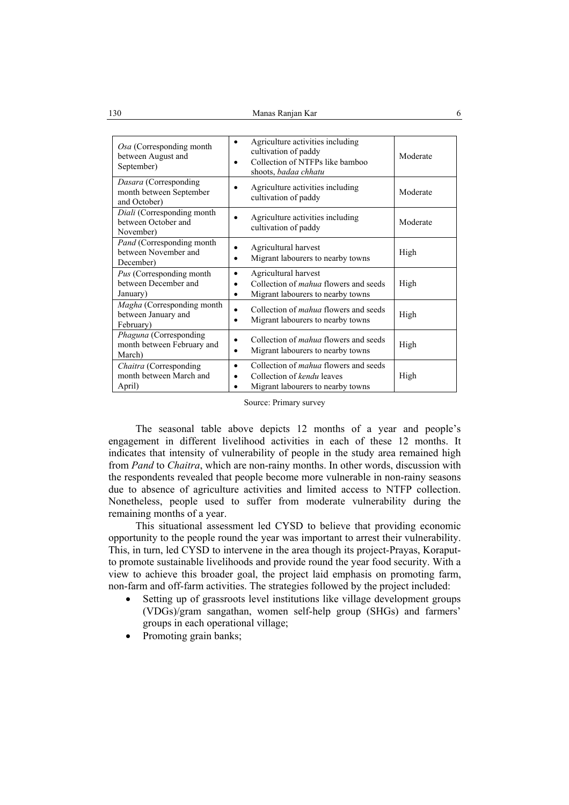| Osa (Corresponding month<br>between August and<br>September)         | Agriculture activities including<br>$\bullet$<br>cultivation of paddy<br>Collection of NTFPs like bamboo<br>shoots, badaa chhatu | Moderate |
|----------------------------------------------------------------------|----------------------------------------------------------------------------------------------------------------------------------|----------|
| Dasara (Corresponding<br>month between September<br>and October)     | Agriculture activities including<br>cultivation of paddy                                                                         | Moderate |
| Diali (Corresponding month<br>between October and<br>November)       | Agriculture activities including<br>cultivation of paddy                                                                         | Moderate |
| Pand (Corresponding month<br>between November and<br>December)       | Agricultural harvest<br>Migrant labourers to nearby towns                                                                        | High     |
| <i>Pus</i> (Corresponding month)<br>between December and<br>January) | Agricultural harvest<br>٠<br>Collection of <i>mahua</i> flowers and seeds<br>Migrant labourers to nearby towns<br>٠              | High     |
| Magha (Corresponding month<br>between January and<br>February)       | Collection of <i>mahua</i> flowers and seeds<br>Migrant labourers to nearby towns                                                | High     |
| Phaguna (Corresponding<br>month between February and<br>March)       | Collection of <i>mahua</i> flowers and seeds<br>Migrant labourers to nearby towns                                                | High     |
| Chaitra (Corresponding<br>month between March and<br>April)          | Collection of <i>mahua</i> flowers and seeds<br>$\bullet$<br>Collection of kendu leaves<br>Migrant labourers to nearby towns     | High     |

Source: Primary survey

The seasonal table above depicts 12 months of a year and people's engagement in different livelihood activities in each of these 12 months. It indicates that intensity of vulnerability of people in the study area remained high from *Pand* to *Chaitra*, which are non-rainy months. In other words, discussion with the respondents revealed that people become more vulnerable in non-rainy seasons due to absence of agriculture activities and limited access to NTFP collection. Nonetheless, people used to suffer from moderate vulnerability during the remaining months of a year.

This situational assessment led CYSD to believe that providing economic opportunity to the people round the year was important to arrest their vulnerability. This, in turn, led CYSD to intervene in the area though its project-Prayas, Koraputto promote sustainable livelihoods and provide round the year food security. With a view to achieve this broader goal, the project laid emphasis on promoting farm, non-farm and off-farm activities. The strategies followed by the project included:

- Setting up of grassroots level institutions like village development groups (VDGs)/gram sangathan, women self-help group (SHGs) and farmers' groups in each operational village;
- Promoting grain banks;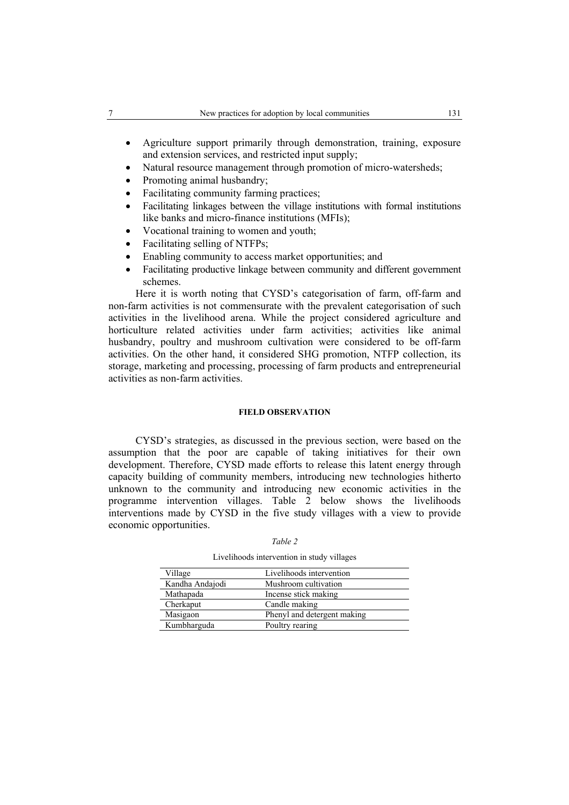- Agriculture support primarily through demonstration, training, exposure and extension services, and restricted input supply;
- Natural resource management through promotion of micro-watersheds;
- Promoting animal husbandry:
- Facilitating community farming practices;
- Facilitating linkages between the village institutions with formal institutions like banks and micro-finance institutions (MFIs);
- Vocational training to women and youth;
- Facilitating selling of NTFPs;
- Enabling community to access market opportunities; and
- Facilitating productive linkage between community and different government schemes.

Here it is worth noting that CYSD's categorisation of farm, off-farm and non-farm activities is not commensurate with the prevalent categorisation of such activities in the livelihood arena. While the project considered agriculture and horticulture related activities under farm activities; activities like animal husbandry, poultry and mushroom cultivation were considered to be off-farm activities. On the other hand, it considered SHG promotion, NTFP collection, its storage, marketing and processing, processing of farm products and entrepreneurial activities as non-farm activities.

# **FIELD OBSERVATION**

CYSD's strategies, as discussed in the previous section, were based on the assumption that the poor are capable of taking initiatives for their own development. Therefore, CYSD made efforts to release this latent energy through capacity building of community members, introducing new technologies hitherto unknown to the community and introducing new economic activities in the programme intervention villages. Table 2 below shows the livelihoods interventions made by CYSD in the five study villages with a view to provide economic opportunities.

| ונ<br>ar |  |
|----------|--|

| Village         | Livelihoods intervention    |
|-----------------|-----------------------------|
| Kandha Andajodi | Mushroom cultivation        |
| Mathapada       | Incense stick making        |
| Cherkaput       | Candle making               |
| Masigaon        | Phenyl and detergent making |
| Kumbharguda     | Poultry rearing             |

Livelihoods intervention in study villages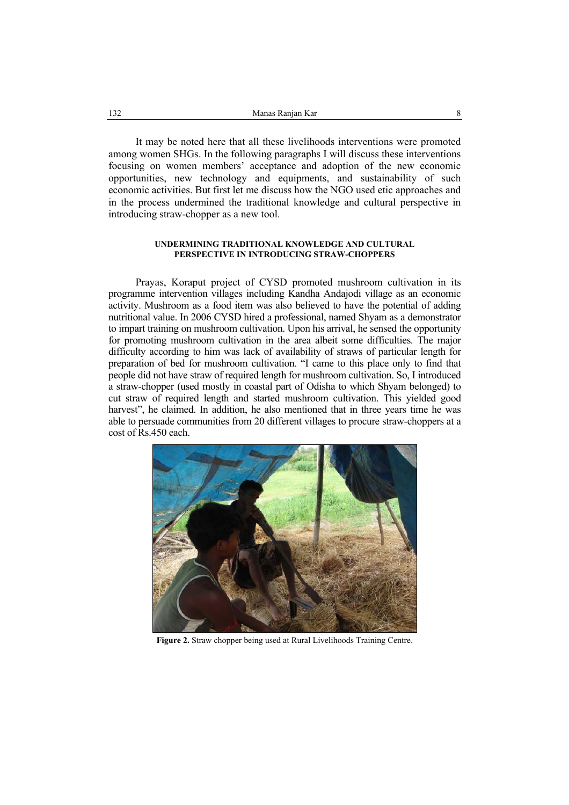It may be noted here that all these livelihoods interventions were promoted among women SHGs. In the following paragraphs I will discuss these interventions focusing on women members' acceptance and adoption of the new economic opportunities, new technology and equipments, and sustainability of such economic activities. But first let me discuss how the NGO used etic approaches and in the process undermined the traditional knowledge and cultural perspective in introducing straw-chopper as a new tool.

#### **UNDERMINING TRADITIONAL KNOWLEDGE AND CULTURAL PERSPECTIVE IN INTRODUCING STRAW-CHOPPERS**

Prayas, Koraput project of CYSD promoted mushroom cultivation in its programme intervention villages including Kandha Andajodi village as an economic activity. Mushroom as a food item was also believed to have the potential of adding nutritional value. In 2006 CYSD hired a professional, named Shyam as a demonstrator to impart training on mushroom cultivation. Upon his arrival, he sensed the opportunity for promoting mushroom cultivation in the area albeit some difficulties. The major difficulty according to him was lack of availability of straws of particular length for preparation of bed for mushroom cultivation. "I came to this place only to find that people did not have straw of required length for mushroom cultivation. So, I introduced a straw-chopper (used mostly in coastal part of Odisha to which Shyam belonged) to cut straw of required length and started mushroom cultivation. This yielded good harvest", he claimed. In addition, he also mentioned that in three years time he was able to persuade communities from 20 different villages to procure straw-choppers at a cost of Rs.450 each.



**Figure 2.** Straw chopper being used at Rural Livelihoods Training Centre.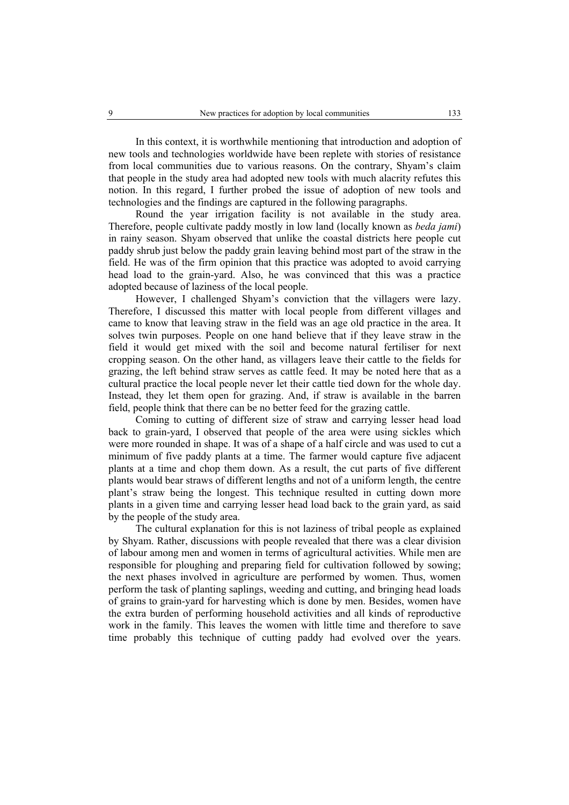In this context, it is worthwhile mentioning that introduction and adoption of new tools and technologies worldwide have been replete with stories of resistance from local communities due to various reasons. On the contrary, Shyam's claim that people in the study area had adopted new tools with much alacrity refutes this notion. In this regard, I further probed the issue of adoption of new tools and technologies and the findings are captured in the following paragraphs.

Round the year irrigation facility is not available in the study area. Therefore, people cultivate paddy mostly in low land (locally known as *beda jami*) in rainy season. Shyam observed that unlike the coastal districts here people cut paddy shrub just below the paddy grain leaving behind most part of the straw in the field. He was of the firm opinion that this practice was adopted to avoid carrying head load to the grain-yard. Also, he was convinced that this was a practice adopted because of laziness of the local people.

However, I challenged Shyam's conviction that the villagers were lazy. Therefore, I discussed this matter with local people from different villages and came to know that leaving straw in the field was an age old practice in the area. It solves twin purposes. People on one hand believe that if they leave straw in the field it would get mixed with the soil and become natural fertiliser for next cropping season. On the other hand, as villagers leave their cattle to the fields for grazing, the left behind straw serves as cattle feed. It may be noted here that as a cultural practice the local people never let their cattle tied down for the whole day. Instead, they let them open for grazing. And, if straw is available in the barren field, people think that there can be no better feed for the grazing cattle.

Coming to cutting of different size of straw and carrying lesser head load back to grain-yard, I observed that people of the area were using sickles which were more rounded in shape. It was of a shape of a half circle and was used to cut a minimum of five paddy plants at a time. The farmer would capture five adjacent plants at a time and chop them down. As a result, the cut parts of five different plants would bear straws of different lengths and not of a uniform length, the centre plant's straw being the longest. This technique resulted in cutting down more plants in a given time and carrying lesser head load back to the grain yard, as said by the people of the study area.

The cultural explanation for this is not laziness of tribal people as explained by Shyam. Rather, discussions with people revealed that there was a clear division of labour among men and women in terms of agricultural activities. While men are responsible for ploughing and preparing field for cultivation followed by sowing; the next phases involved in agriculture are performed by women. Thus, women perform the task of planting saplings, weeding and cutting, and bringing head loads of grains to grain-yard for harvesting which is done by men. Besides, women have the extra burden of performing household activities and all kinds of reproductive work in the family. This leaves the women with little time and therefore to save time probably this technique of cutting paddy had evolved over the years.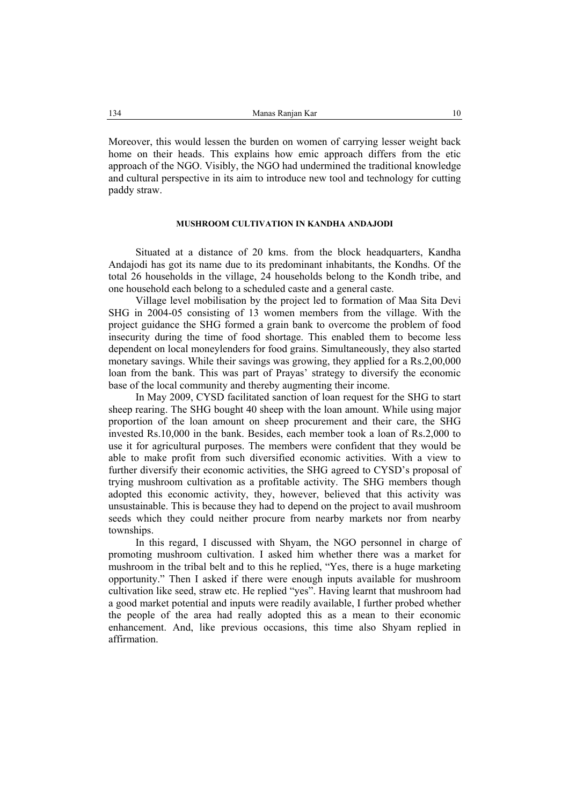Moreover, this would lessen the burden on women of carrying lesser weight back home on their heads. This explains how emic approach differs from the etic approach of the NGO. Visibly, the NGO had undermined the traditional knowledge and cultural perspective in its aim to introduce new tool and technology for cutting paddy straw.

# **MUSHROOM CULTIVATION IN KANDHA ANDAJODI**

Situated at a distance of 20 kms. from the block headquarters, Kandha Andajodi has got its name due to its predominant inhabitants, the Kondhs. Of the total 26 households in the village, 24 households belong to the Kondh tribe, and one household each belong to a scheduled caste and a general caste.

Village level mobilisation by the project led to formation of Maa Sita Devi SHG in 2004-05 consisting of 13 women members from the village. With the project guidance the SHG formed a grain bank to overcome the problem of food insecurity during the time of food shortage. This enabled them to become less dependent on local moneylenders for food grains. Simultaneously, they also started monetary savings. While their savings was growing, they applied for a Rs.2,00,000 loan from the bank. This was part of Prayas' strategy to diversify the economic base of the local community and thereby augmenting their income.

In May 2009, CYSD facilitated sanction of loan request for the SHG to start sheep rearing. The SHG bought 40 sheep with the loan amount. While using major proportion of the loan amount on sheep procurement and their care, the SHG invested Rs.10,000 in the bank. Besides, each member took a loan of Rs.2,000 to use it for agricultural purposes. The members were confident that they would be able to make profit from such diversified economic activities. With a view to further diversify their economic activities, the SHG agreed to CYSD's proposal of trying mushroom cultivation as a profitable activity. The SHG members though adopted this economic activity, they, however, believed that this activity was unsustainable. This is because they had to depend on the project to avail mushroom seeds which they could neither procure from nearby markets nor from nearby townships.

In this regard, I discussed with Shyam, the NGO personnel in charge of promoting mushroom cultivation. I asked him whether there was a market for mushroom in the tribal belt and to this he replied, "Yes, there is a huge marketing opportunity." Then I asked if there were enough inputs available for mushroom cultivation like seed, straw etc. He replied "yes". Having learnt that mushroom had a good market potential and inputs were readily available, I further probed whether the people of the area had really adopted this as a mean to their economic enhancement. And, like previous occasions, this time also Shyam replied in affirmation.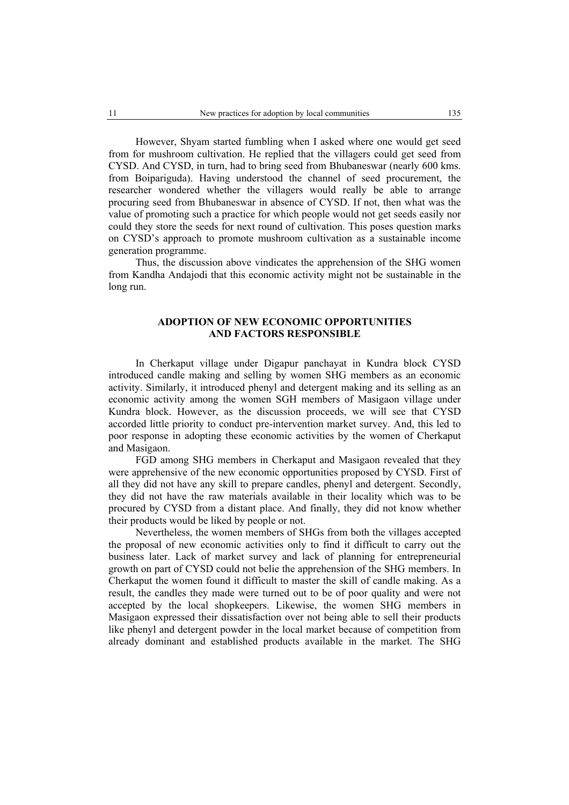However, Shyam started fumbling when I asked where one would get seed from for mushroom cultivation. He replied that the villagers could get seed from CYSD. And CYSD, in turn, had to bring seed from Bhubaneswar (nearly 600 kms. from Boipariguda). Having understood the channel of seed procurement, the researcher wondered whether the villagers would really be able to arrange procuring seed from Bhubaneswar in absence of CYSD. If not, then what was the value of promoting such a practice for which people would not get seeds easily nor could they store the seeds for next round of cultivation. This poses question marks on CYSD's approach to promote mushroom cultivation as a sustainable income generation programme.

Thus, the discussion above vindicates the apprehension of the SHG women from Kandha Andajodi that this economic activity might not be sustainable in the long run.

# **ADOPTION OF NEW ECONOMIC OPPORTUNITIES AND FACTORS RESPONSIBLE**

In Cherkaput village under Digapur panchayat in Kundra block CYSD introduced candle making and selling by women SHG members as an economic activity. Similarly, it introduced phenyl and detergent making and its selling as an economic activity among the women SGH members of Masigaon village under Kundra block. However, as the discussion proceeds, we will see that CYSD accorded little priority to conduct pre-intervention market survey. And, this led to poor response in adopting these economic activities by the women of Cherkaput and Masigaon.

FGD among SHG members in Cherkaput and Masigaon revealed that they were apprehensive of the new economic opportunities proposed by CYSD. First of all they did not have any skill to prepare candles, phenyl and detergent. Secondly, they did not have the raw materials available in their locality which was to be procured by CYSD from a distant place. And finally, they did not know whether their products would be liked by people or not.

Nevertheless, the women members of SHGs from both the villages accepted the proposal of new economic activities only to find it difficult to carry out the business later. Lack of market survey and lack of planning for entrepreneurial growth on part of CYSD could not belie the apprehension of the SHG members. In Cherkaput the women found it difficult to master the skill of candle making. As a result, the candles they made were turned out to be of poor quality and were not accepted by the local shopkeepers. Likewise, the women SHG members in Masigaon expressed their dissatisfaction over not being able to sell their products like phenyl and detergent powder in the local market because of competition from already dominant and established products available in the market. The SHG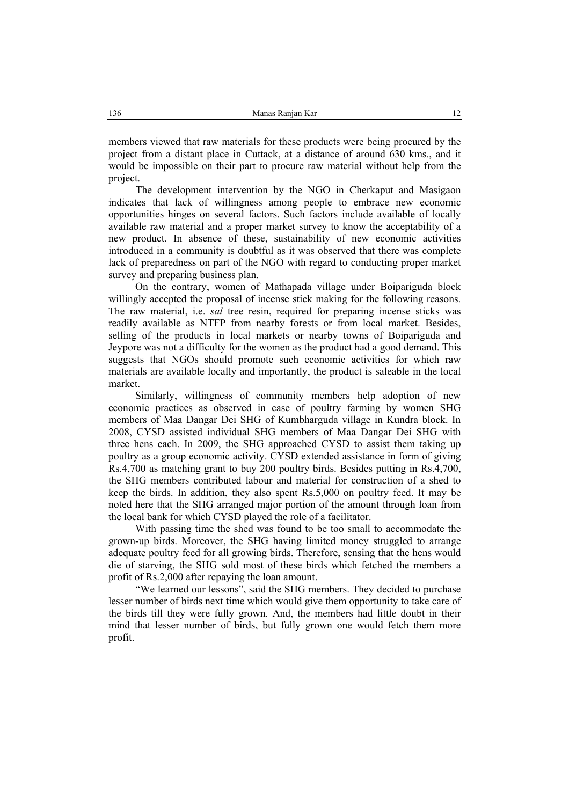members viewed that raw materials for these products were being procured by the project from a distant place in Cuttack, at a distance of around 630 kms., and it would be impossible on their part to procure raw material without help from the project.

The development intervention by the NGO in Cherkaput and Masigaon indicates that lack of willingness among people to embrace new economic opportunities hinges on several factors. Such factors include available of locally available raw material and a proper market survey to know the acceptability of a new product. In absence of these, sustainability of new economic activities introduced in a community is doubtful as it was observed that there was complete lack of preparedness on part of the NGO with regard to conducting proper market survey and preparing business plan.

On the contrary, women of Mathapada village under Boipariguda block willingly accepted the proposal of incense stick making for the following reasons. The raw material, i.e. *sal* tree resin, required for preparing incense sticks was readily available as NTFP from nearby forests or from local market. Besides, selling of the products in local markets or nearby towns of Boipariguda and Jeypore was not a difficulty for the women as the product had a good demand. This suggests that NGOs should promote such economic activities for which raw materials are available locally and importantly, the product is saleable in the local market.

Similarly, willingness of community members help adoption of new economic practices as observed in case of poultry farming by women SHG members of Maa Dangar Dei SHG of Kumbharguda village in Kundra block. In 2008, CYSD assisted individual SHG members of Maa Dangar Dei SHG with three hens each. In 2009, the SHG approached CYSD to assist them taking up poultry as a group economic activity. CYSD extended assistance in form of giving Rs.4,700 as matching grant to buy 200 poultry birds. Besides putting in Rs.4,700, the SHG members contributed labour and material for construction of a shed to keep the birds. In addition, they also spent Rs.5,000 on poultry feed. It may be noted here that the SHG arranged major portion of the amount through loan from the local bank for which CYSD played the role of a facilitator.

With passing time the shed was found to be too small to accommodate the grown-up birds. Moreover, the SHG having limited money struggled to arrange adequate poultry feed for all growing birds. Therefore, sensing that the hens would die of starving, the SHG sold most of these birds which fetched the members a profit of Rs.2,000 after repaying the loan amount.

"We learned our lessons", said the SHG members. They decided to purchase lesser number of birds next time which would give them opportunity to take care of the birds till they were fully grown. And, the members had little doubt in their mind that lesser number of birds, but fully grown one would fetch them more profit.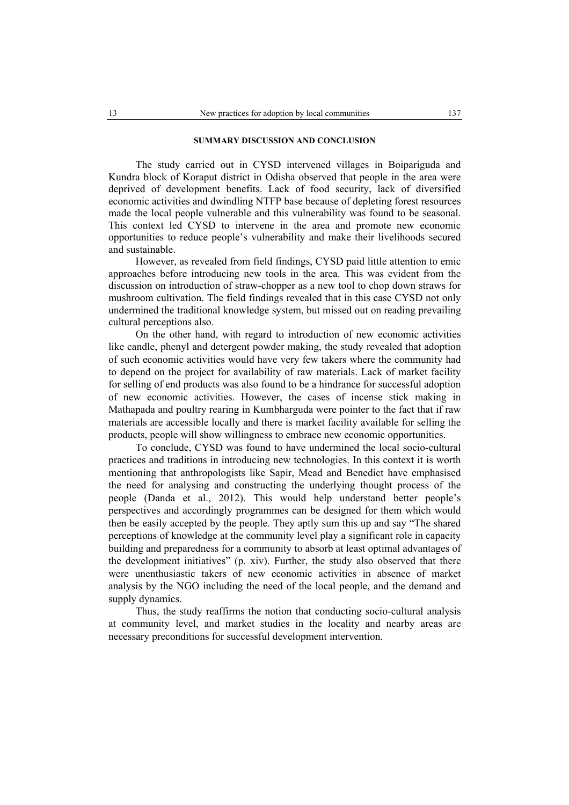### **SUMMARY DISCUSSION AND CONCLUSION**

The study carried out in CYSD intervened villages in Boipariguda and Kundra block of Koraput district in Odisha observed that people in the area were deprived of development benefits. Lack of food security, lack of diversified economic activities and dwindling NTFP base because of depleting forest resources made the local people vulnerable and this vulnerability was found to be seasonal. This context led CYSD to intervene in the area and promote new economic opportunities to reduce people's vulnerability and make their livelihoods secured and sustainable.

However, as revealed from field findings, CYSD paid little attention to emic approaches before introducing new tools in the area. This was evident from the discussion on introduction of straw-chopper as a new tool to chop down straws for mushroom cultivation. The field findings revealed that in this case CYSD not only undermined the traditional knowledge system, but missed out on reading prevailing cultural perceptions also.

On the other hand, with regard to introduction of new economic activities like candle, phenyl and detergent powder making, the study revealed that adoption of such economic activities would have very few takers where the community had to depend on the project for availability of raw materials. Lack of market facility for selling of end products was also found to be a hindrance for successful adoption of new economic activities. However, the cases of incense stick making in Mathapada and poultry rearing in Kumbharguda were pointer to the fact that if raw materials are accessible locally and there is market facility available for selling the products, people will show willingness to embrace new economic opportunities.

To conclude, CYSD was found to have undermined the local socio-cultural practices and traditions in introducing new technologies. In this context it is worth mentioning that anthropologists like Sapir, Mead and Benedict have emphasised the need for analysing and constructing the underlying thought process of the people (Danda et al., 2012). This would help understand better people's perspectives and accordingly programmes can be designed for them which would then be easily accepted by the people. They aptly sum this up and say "The shared perceptions of knowledge at the community level play a significant role in capacity building and preparedness for a community to absorb at least optimal advantages of the development initiatives" (p. xiv). Further, the study also observed that there were unenthusiastic takers of new economic activities in absence of market analysis by the NGO including the need of the local people, and the demand and supply dynamics.

Thus, the study reaffirms the notion that conducting socio-cultural analysis at community level, and market studies in the locality and nearby areas are necessary preconditions for successful development intervention.